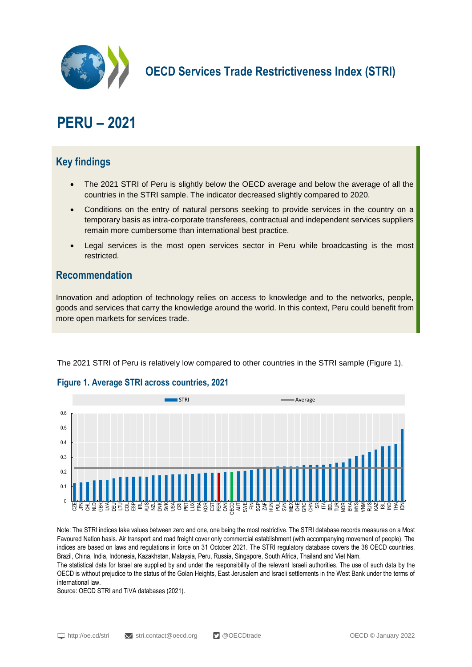

**OECD Services Trade Restrictiveness Index (STRI)**

# **PERU – 2021**

## **Key findings**

- The 2021 STRI of Peru is slightly below the OECD average and below the average of all the countries in the STRI sample. The indicator decreased slightly compared to 2020.
- Conditions on the entry of natural persons seeking to provide services in the country on a temporary basis as intra-corporate transferees, contractual and independent services suppliers remain more cumbersome than international best practice.
- Legal services is the most open services sector in Peru while broadcasting is the most restricted.

### **Recommendation**

Innovation and adoption of technology relies on access to knowledge and to the networks, people, goods and services that carry the knowledge around the world. In this context, Peru could benefit from more open markets for services trade.

The 2021 STRI of Peru is relatively low compared to other countries in the STRI sample (Figure 1).



#### **Figure 1. Average STRI across countries, 2021**

Note: The STRI indices take values between zero and one, one being the most restrictive. The STRI database records measures on a Most Favoured Nation basis. Air transport and road freight cover only commercial establishment (with accompanying movement of people). The indices are based on laws and regulations in force on 31 October 2021. The STRI regulatory database covers the 38 OECD countries, Brazil, China, India, Indonesia, Kazakhstan, Malaysia, Peru, Russia, Singapore, South Africa, Thailand and Viet Nam.

The statistical data for Israel are supplied by and under the responsibility of the relevant Israeli authorities. The use of such data by the OECD is without prejudice to the status of the Golan Heights, East Jerusalem and Israeli settlements in the West Bank under the terms of international law.

Source: OECD STRI and TiVA databases (2021).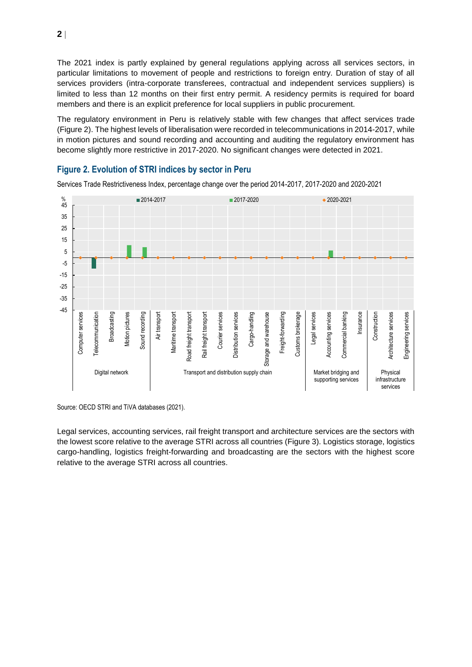The 2021 index is partly explained by general regulations applying across all services sectors, in particular limitations to movement of people and restrictions to foreign entry. Duration of stay of all services providers (intra-corporate transferees, contractual and independent services suppliers) is limited to less than 12 months on their first entry permit. A residency permits is required for board members and there is an explicit preference for local suppliers in public procurement.

The regulatory environment in Peru is relatively stable with few changes that affect services trade (Figure 2). The highest levels of liberalisation were recorded in telecommunications in 2014-2017, while in motion pictures and sound recording and accounting and auditing the regulatory environment has become slightly more restrictive in 2017-2020. No significant changes were detected in 2021.



**Figure 2. Evolution of STRI indices by sector in Peru**

Services Trade Restrictiveness Index, percentage change over the period 2014-2017, 2017-2020 and 2020-2021

Source: OECD STRI and TiVA databases (2021).

Legal services, accounting services, rail freight transport and architecture services are the sectors with the lowest score relative to the average STRI across all countries (Figure 3). Logistics storage, logistics cargo-handling, logistics freight-forwarding and broadcasting are the sectors with the highest score relative to the average STRI across all countries.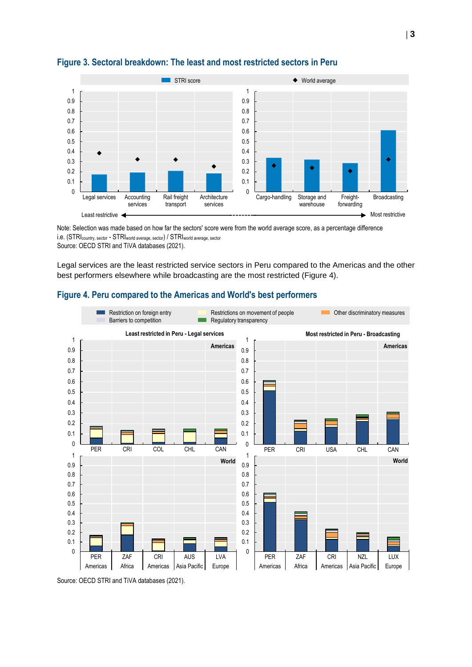

#### **Figure 3. Sectoral breakdown: The least and most restricted sectors in Peru**

Note: Selection was made based on how far the sectors' score were from the world average score, as a percentage difference i.e. (STRIcountry, sector - STRIworld average, sector) / STRIworld average, sector Source: OECD STRI and TiVA databases (2021).

Legal services are the least restricted service sectors in Peru compared to the Americas and the other best performers elsewhere while broadcasting are the most restricted (Figure 4).

#### **Figure 4. Peru compared to the Americas and World's best performers**



Source: OECD STRI and TiVA databases (2021).